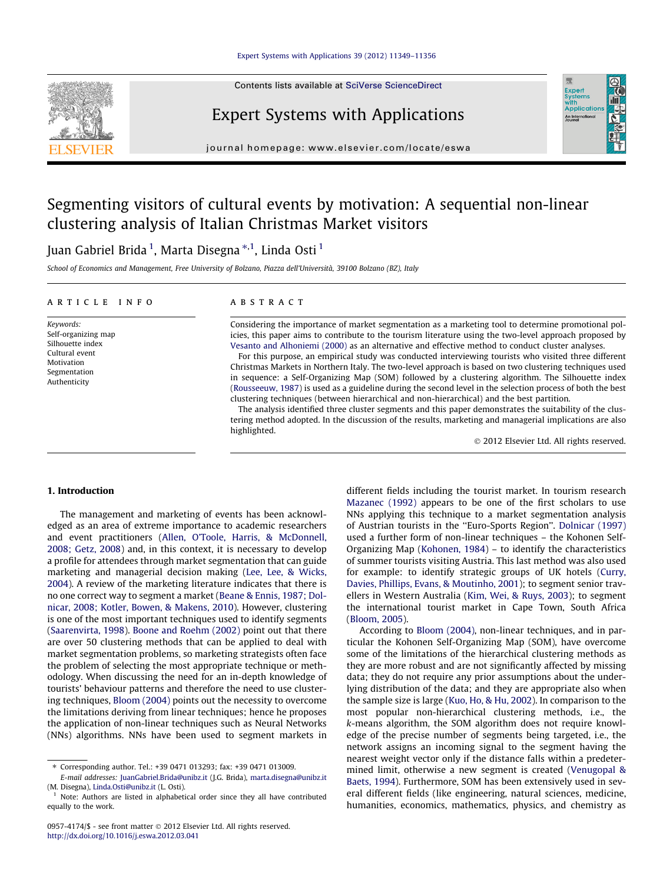#### [Expert Systems with Applications 39 \(2012\) 11349–11356](http://dx.doi.org/10.1016/j.eswa.2012.03.041)

Contents lists available at [SciVerse ScienceDirect](http://www.sciencedirect.com/science/journal/09574174)

## Expert Systems with Applications

journal homepage: [www.elsevier.com/locate/eswa](http://www.elsevier.com/locate/eswa)

## Segmenting visitors of cultural events by motivation: A sequential non-linear clustering analysis of Italian Christmas Market visitors

### Juan Gabriel Brida <sup>1</sup>, Marta Disegna \*<sup>,1</sup>, Linda Osti <sup>1</sup>

School of Economics and Management, Free University of Bolzano, Piazza dell'Università, 39100 Bolzano (BZ), Italy

#### article info

Keywords: Self-organizing map Silhouette index Cultural event Motivation Segmentation Authenticity

#### **ABSTRACT**

Considering the importance of market segmentation as a marketing tool to determine promotional policies, this paper aims to contribute to the tourism literature using the two-level approach proposed by [Vesanto and Alhoniemi \(2000\)](#page--1-0) as an alternative and effective method to conduct cluster analyses.

For this purpose, an empirical study was conducted interviewing tourists who visited three different Christmas Markets in Northern Italy. The two-level approach is based on two clustering techniques used in sequence: a Self-Organizing Map (SOM) followed by a clustering algorithm. The Silhouette index ([Rousseeuw, 1987\)](#page--1-0) is used as a guideline during the second level in the selection process of both the best clustering techniques (between hierarchical and non-hierarchical) and the best partition.

The analysis identified three cluster segments and this paper demonstrates the suitability of the clustering method adopted. In the discussion of the results, marketing and managerial implications are also highlighted.

- 2012 Elsevier Ltd. All rights reserved.

#### 1. Introduction

The management and marketing of events has been acknowledged as an area of extreme importance to academic researchers and event practitioners ([Allen, O'Toole, Harris, & McDonnell,](#page--1-0) [2008; Getz, 2008\)](#page--1-0) and, in this context, it is necessary to develop a profile for attendees through market segmentation that can guide marketing and managerial decision making [\(Lee, Lee, & Wicks,](#page--1-0) [2004](#page--1-0)). A review of the marketing literature indicates that there is no one correct way to segment a market [\(Beane & Ennis, 1987; Dol](#page--1-0)[nicar, 2008; Kotler, Bowen, & Makens, 2010\)](#page--1-0). However, clustering is one of the most important techniques used to identify segments ([Saarenvirta, 1998\)](#page--1-0). [Boone and Roehm \(2002\)](#page--1-0) point out that there are over 50 clustering methods that can be applied to deal with market segmentation problems, so marketing strategists often face the problem of selecting the most appropriate technique or methodology. When discussing the need for an in-depth knowledge of tourists' behaviour patterns and therefore the need to use clustering techniques, [Bloom \(2004\)](#page--1-0) points out the necessity to overcome the limitations deriving from linear techniques; hence he proposes the application of non-linear techniques such as Neural Networks (NNs) algorithms. NNs have been used to segment markets in

different fields including the tourist market. In tourism research [Mazanec \(1992\)](#page--1-0) appears to be one of the first scholars to use NNs applying this technique to a market segmentation analysis of Austrian tourists in the ''Euro-Sports Region''. [Dolnicar \(1997\)](#page--1-0) used a further form of non-linear techniques – the Kohonen Self-Organizing Map ([Kohonen, 1984](#page--1-0)) – to identify the characteristics of summer tourists visiting Austria. This last method was also used for example: to identify strategic groups of UK hotels ([Curry,](#page--1-0) [Davies, Phillips, Evans, & Moutinho, 2001](#page--1-0)); to segment senior travellers in Western Australia [\(Kim, Wei, & Ruys, 2003\)](#page--1-0); to segment the international tourist market in Cape Town, South Africa ([Bloom, 2005](#page--1-0)).

According to [Bloom \(2004\)](#page--1-0), non-linear techniques, and in particular the Kohonen Self-Organizing Map (SOM), have overcome some of the limitations of the hierarchical clustering methods as they are more robust and are not significantly affected by missing data; they do not require any prior assumptions about the underlying distribution of the data; and they are appropriate also when the sample size is large [\(Kuo, Ho, & Hu, 2002](#page--1-0)). In comparison to the most popular non-hierarchical clustering methods, i.e., the k-means algorithm, the SOM algorithm does not require knowledge of the precise number of segments being targeted, i.e., the network assigns an incoming signal to the segment having the nearest weight vector only if the distance falls within a predetermined limit, otherwise a new segment is created ([Venugopal &](#page--1-0) [Baets, 1994](#page--1-0)). Furthermore, SOM has been extensively used in several different fields (like engineering, natural sciences, medicine, humanities, economics, mathematics, physics, and chemistry as





<sup>⇑</sup> Corresponding author. Tel.: +39 0471 013293; fax: +39 0471 013009.

E-mail addresses: [JuanGabriel.Brida@unibz.it](mailto:JuanGabriel.Brida@unibz.it) (J.G. Brida), [marta.disegna@unibz.it](mailto:marta.disegna@unibz.it) (M. Disegna), [Linda.Osti@unibz.it](mailto:Linda.Osti@unibz.it) (L. Osti).

Note: Authors are listed in alphabetical order since they all have contributed equally to the work.

<sup>0957-4174/\$ -</sup> see front matter © 2012 Elsevier Ltd. All rights reserved. <http://dx.doi.org/10.1016/j.eswa.2012.03.041>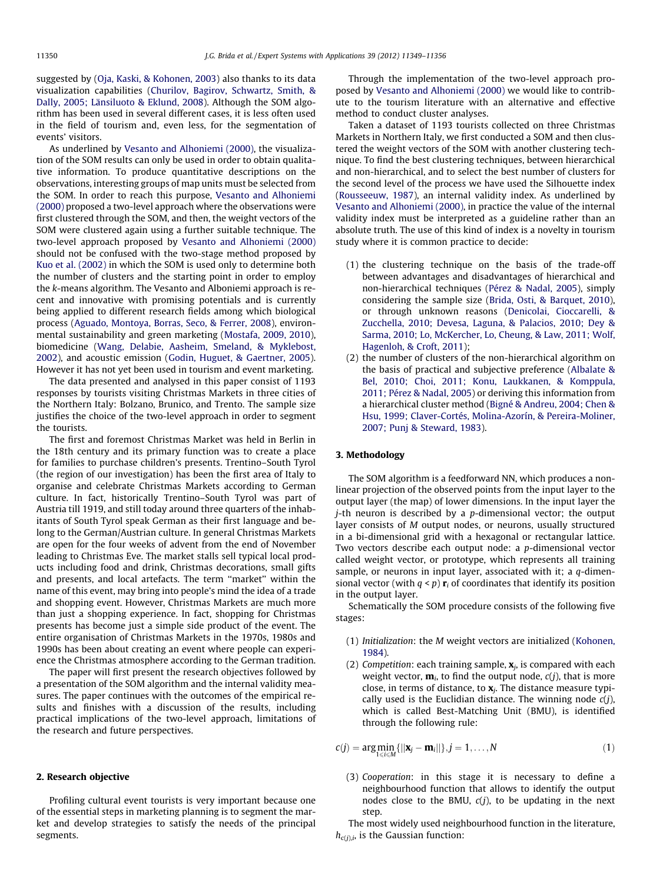suggested by ([Oja, Kaski, & Kohonen, 2003](#page--1-0)) also thanks to its data visualization capabilities [\(Churilov, Bagirov, Schwartz, Smith, &](#page--1-0) [Dally, 2005; Länsiluoto & Eklund, 2008\)](#page--1-0). Although the SOM algorithm has been used in several different cases, it is less often used in the field of tourism and, even less, for the segmentation of events' visitors.

As underlined by [Vesanto and Alhoniemi \(2000\),](#page--1-0) the visualization of the SOM results can only be used in order to obtain qualitative information. To produce quantitative descriptions on the observations, interesting groups of map units must be selected from the SOM. In order to reach this purpose, [Vesanto and Alhoniemi](#page--1-0) [\(2000\)](#page--1-0) proposed a two-level approach where the observations were first clustered through the SOM, and then, the weight vectors of the SOM were clustered again using a further suitable technique. The two-level approach proposed by [Vesanto and Alhoniemi \(2000\)](#page--1-0) should not be confused with the two-stage method proposed by [Kuo et al. \(2002\)](#page--1-0) in which the SOM is used only to determine both the number of clusters and the starting point in order to employ the k-means algorithm. The Vesanto and Alboniemi approach is recent and innovative with promising potentials and is currently being applied to different research fields among which biological process ([Aguado, Montoya, Borras, Seco, & Ferrer, 2008\)](#page--1-0), environmental sustainability and green marketing [\(Mostafa, 2009, 2010\)](#page--1-0), biomedicine ([Wang, Delabie, Aasheim, Smeland, & Myklebost,](#page--1-0) [2002\)](#page--1-0), and acoustic emission [\(Godin, Huguet, & Gaertner, 2005\)](#page--1-0). However it has not yet been used in tourism and event marketing.

The data presented and analysed in this paper consist of 1193 responses by tourists visiting Christmas Markets in three cities of the Northern Italy: Bolzano, Brunico, and Trento. The sample size justifies the choice of the two-level approach in order to segment the tourists.

The first and foremost Christmas Market was held in Berlin in the 18th century and its primary function was to create a place for families to purchase children's presents. Trentino–South Tyrol (the region of our investigation) has been the first area of Italy to organise and celebrate Christmas Markets according to German culture. In fact, historically Trentino–South Tyrol was part of Austria till 1919, and still today around three quarters of the inhabitants of South Tyrol speak German as their first language and belong to the German/Austrian culture. In general Christmas Markets are open for the four weeks of advent from the end of November leading to Christmas Eve. The market stalls sell typical local products including food and drink, Christmas decorations, small gifts and presents, and local artefacts. The term ''market'' within the name of this event, may bring into people's mind the idea of a trade and shopping event. However, Christmas Markets are much more than just a shopping experience. In fact, shopping for Christmas presents has become just a simple side product of the event. The entire organisation of Christmas Markets in the 1970s, 1980s and 1990s has been about creating an event where people can experience the Christmas atmosphere according to the German tradition.

The paper will first present the research objectives followed by a presentation of the SOM algorithm and the internal validity measures. The paper continues with the outcomes of the empirical results and finishes with a discussion of the results, including practical implications of the two-level approach, limitations of the research and future perspectives.

#### 2. Research objective

Profiling cultural event tourists is very important because one of the essential steps in marketing planning is to segment the market and develop strategies to satisfy the needs of the principal segments.

Through the implementation of the two-level approach proposed by [Vesanto and Alhoniemi \(2000\)](#page--1-0) we would like to contribute to the tourism literature with an alternative and effective method to conduct cluster analyses.

Taken a dataset of 1193 tourists collected on three Christmas Markets in Northern Italy, we first conducted a SOM and then clustered the weight vectors of the SOM with another clustering technique. To find the best clustering techniques, between hierarchical and non-hierarchical, and to select the best number of clusters for the second level of the process we have used the Silhouette index ([Rousseeuw, 1987\)](#page--1-0), an internal validity index. As underlined by [Vesanto and Alhoniemi \(2000\)](#page--1-0), in practice the value of the internal validity index must be interpreted as a guideline rather than an absolute truth. The use of this kind of index is a novelty in tourism study where it is common practice to decide:

- (1) the clustering technique on the basis of the trade-off between advantages and disadvantages of hierarchical and non-hierarchical techniques [\(Pérez & Nadal, 2005\)](#page--1-0), simply considering the sample size ([Brida, Osti, & Barquet, 2010\)](#page--1-0), or through unknown reasons [\(Denicolai, Cioccarelli, &](#page--1-0) [Zucchella, 2010; Devesa, Laguna, & Palacios, 2010; Dey &](#page--1-0) [Sarma, 2010; Lo, McKercher, Lo, Cheung, & Law, 2011; Wolf,](#page--1-0) [Hagenloh, & Croft, 2011\)](#page--1-0);
- (2) the number of clusters of the non-hierarchical algorithm on the basis of practical and subjective preference [\(Albalate &](#page--1-0) [Bel, 2010; Choi, 2011; Konu, Laukkanen, & Komppula,](#page--1-0) [2011; Pérez & Nadal, 2005\)](#page--1-0) or deriving this information from a hierarchical cluster method [\(Bigné & Andreu, 2004; Chen &](#page--1-0) [Hsu, 1999; Claver-Cortés, Molina-Azorín, & Pereira-Moliner,](#page--1-0) [2007; Punj & Steward, 1983\)](#page--1-0).

#### 3. Methodology

The SOM algorithm is a feedforward NN, which produces a nonlinear projection of the observed points from the input layer to the output layer (the map) of lower dimensions. In the input layer the  $j$ -th neuron is described by a  $p$ -dimensional vector; the output layer consists of M output nodes, or neurons, usually structured in a bi-dimensional grid with a hexagonal or rectangular lattice. Two vectors describe each output node: a p-dimensional vector called weight vector, or prototype, which represents all training sample, or neurons in input layer, associated with it; a q-dimensional vector (with  $q < p$ )  $\mathbf{r}_i$  of coordinates that identify its position in the output layer.

Schematically the SOM procedure consists of the following five stages:

- (1) Initialization: the M weight vectors are initialized [\(Kohonen,](#page--1-0) [1984\)](#page--1-0).
- (2) Competition: each training sample,  $\mathbf{x}_i$ , is compared with each weight vector,  $\mathbf{m}_i$ , to find the output node,  $c(j)$ , that is more close, in terms of distance, to  $x_i$ . The distance measure typically used is the Euclidian distance. The winning node  $c(j)$ , which is called Best-Matching Unit (BMU), is identified through the following rule:

$$
c(j) = \arg\min_{1 \le i \le M} \{ ||\mathbf{x}_j - \mathbf{m}_i|| \}, j = 1, \dots, N
$$
\n(1)

(3) Cooperation: in this stage it is necessary to define a neighbourhood function that allows to identify the output nodes close to the BMU,  $c(j)$ , to be updating in the next step.

The most widely used neighbourhood function in the literature,  $h_{c(i),i}$ , is the Gaussian function: